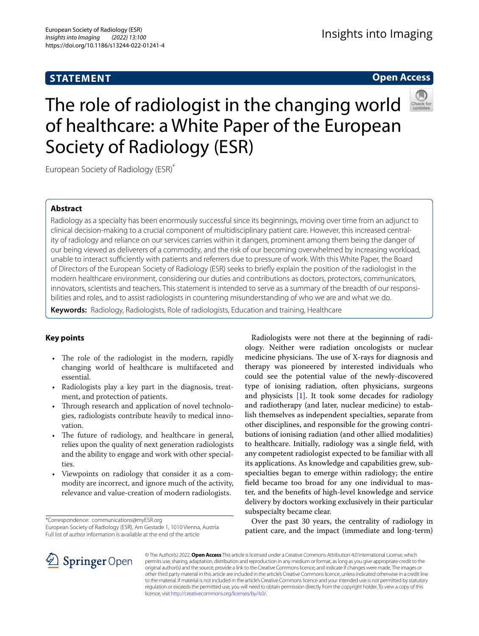# **STATEMENT**

# **Open Access**



# The role of radiologist in the changing world of healthcare: a White Paper of the European Society of Radiology (ESR)

European Society of Radiology (ESR)\*

## **Abstract**

Radiology as a specialty has been enormously successful since its beginnings, moving over time from an adjunct to clinical decision-making to a crucial component of multidisciplinary patient care. However, this increased centrality of radiology and reliance on our services carries within it dangers, prominent among them being the danger of our being viewed as deliverers of a commodity, and the risk of our becoming overwhelmed by increasing workload, unable to interact sufficiently with patients and referrers due to pressure of work. With this White Paper, the Board of Directors of the European Society of Radiology (ESR) seeks to briefy explain the position of the radiologist in the modern healthcare environment, considering our duties and contributions as doctors, protectors, communicators, innovators, scientists and teachers. This statement is intended to serve as a summary of the breadth of our responsibilities and roles, and to assist radiologists in countering misunderstanding of who we are and what we do.

**Keywords:** Radiology, Radiologists, Role of radiologists, Education and training, Healthcare

## **Key points**

- The role of the radiologist in the modern, rapidly changing world of healthcare is multifaceted and essential.
- Radiologists play a key part in the diagnosis, treatment, and protection of patients.
- Through research and application of novel technologies, radiologists contribute heavily to medical innovation.
- The future of radiology, and healthcare in general, relies upon the quality of next generation radiologists and the ability to engage and work with other specialties.
- Viewpoints on radiology that consider it as a commodity are incorrect, and ignore much of the activity, relevance and value-creation of modern radiologists.

\*Correspondence: communications@myESR.org

European Society of Radiology (ESR), Am Gestade 1, 1010 Vienna, Austria Full list of author information is available at the end of the article

Radiologists were not there at the beginning of radiology. Neither were radiation oncologists or nuclear medicine physicians. The use of X-rays for diagnosis and therapy was pioneered by interested individuals who could see the potential value of the newly-discovered type of ionising radiation, often physicians, surgeons and physicists [[1\]](#page-4-0). It took some decades for radiology and radiotherapy (and later, nuclear medicine) to establish themselves as independent specialties, separate from other disciplines, and responsible for the growing contributions of ionising radiation (and other allied modalities) to healthcare. Initially, radiology was a single feld, with any competent radiologist expected to be familiar with all its applications. As knowledge and capabilities grew, subspecialties began to emerge within radiology; the entire feld became too broad for any one individual to master, and the benefts of high-level knowledge and service delivery by doctors working exclusively in their particular subspecialty became clear.

Over the past 30 years, the centrality of radiology in patient care, and the impact (immediate and long-term)



© The Author(s) 2022. **Open Access** This article is licensed under a Creative Commons Attribution 4.0 International License, which permits use, sharing, adaptation, distribution and reproduction in any medium or format, as long as you give appropriate credit to the original author(s) and the source, provide a link to the Creative Commons licence, and indicate if changes were made. The images or other third party material in this article are included in the article's Creative Commons licence, unless indicated otherwise in a credit line to the material. If material is not included in the article's Creative Commons licence and your intended use is not permitted by statutory regulation or exceeds the permitted use, you will need to obtain permission directly from the copyright holder. To view a copy of this licence, visit [http://creativecommons.org/licenses/by/4.0/.](http://creativecommons.org/licenses/by/4.0/)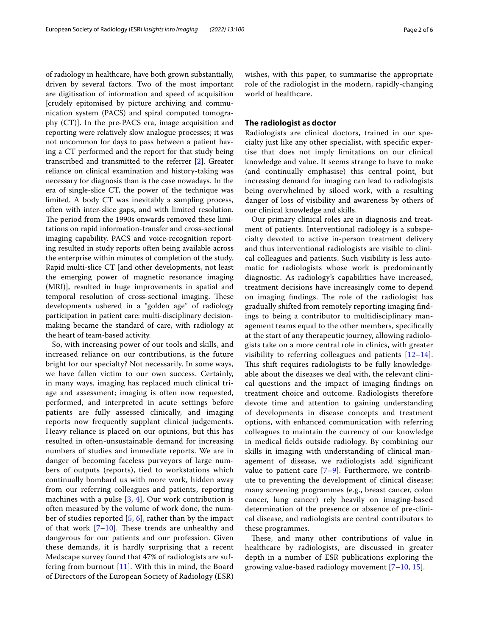of radiology in healthcare, have both grown substantially, driven by several factors. Two of the most important are digitisation of information and speed of acquisition [crudely epitomised by picture archiving and communication system (PACS) and spiral computed tomography (CT)]. In the pre-PACS era, image acquisition and reporting were relatively slow analogue processes; it was not uncommon for days to pass between a patient having a CT performed and the report for that study being transcribed and transmitted to the referrer [\[2](#page-4-1)]. Greater reliance on clinical examination and history-taking was necessary for diagnosis than is the case nowadays. In the era of single-slice CT, the power of the technique was limited. A body CT was inevitably a sampling process, often with inter-slice gaps, and with limited resolution. The period from the 1990s onwards removed these limitations on rapid information-transfer and cross-sectional imaging capability. PACS and voice-recognition reporting resulted in study reports often being available across the enterprise within minutes of completion of the study. Rapid multi-slice CT [and other developments, not least the emerging power of magnetic resonance imaging (MRI)], resulted in huge improvements in spatial and temporal resolution of cross-sectional imaging. These developments ushered in a "golden age" of radiology participation in patient care: multi-disciplinary decisionmaking became the standard of care, with radiology at the heart of team-based activity.

So, with increasing power of our tools and skills, and increased reliance on our contributions, is the future bright for our specialty? Not necessarily. In some ways, we have fallen victim to our own success. Certainly, in many ways, imaging has replaced much clinical triage and assessment; imaging is often now requested, performed, and interpreted in acute settings before patients are fully assessed clinically, and imaging reports now frequently supplant clinical judgements. Heavy reliance is placed on our opinions, but this has resulted in often-unsustainable demand for increasing numbers of studies and immediate reports. We are in danger of becoming faceless purveyors of large numbers of outputs (reports), tied to workstations which continually bombard us with more work, hidden away from our referring colleagues and patients, reporting machines with a pulse  $[3, 4]$  $[3, 4]$  $[3, 4]$ . Our work contribution is often measured by the volume of work done, the number of studies reported [\[5](#page-4-4), [6](#page-4-5)], rather than by the impact of that work  $[7-10]$  $[7-10]$ . These trends are unhealthy and dangerous for our patients and our profession. Given these demands, it is hardly surprising that a recent Medscape survey found that 47% of radiologists are suffering from burnout  $[11]$  $[11]$ . With this in mind, the Board of Directors of the European Society of Radiology (ESR)

wishes, with this paper, to summarise the appropriate role of the radiologist in the modern, rapidly-changing world of healthcare.

#### **The radiologist as doctor**

Radiologists are clinical doctors, trained in our specialty just like any other specialist, with specifc expertise that does not imply limitations on our clinical knowledge and value. It seems strange to have to make (and continually emphasise) this central point, but increasing demand for imaging can lead to radiologists being overwhelmed by siloed work, with a resulting danger of loss of visibility and awareness by others of our clinical knowledge and skills.

Our primary clinical roles are in diagnosis and treatment of patients. Interventional radiology is a subspecialty devoted to active in-person treatment delivery and thus interventional radiologists are visible to clinical colleagues and patients. Such visibility is less automatic for radiologists whose work is predominantly diagnostic. As radiology's capabilities have increased, treatment decisions have increasingly come to depend on imaging findings. The role of the radiologist has gradually shifted from remotely reporting imaging fndings to being a contributor to multidisciplinary management teams equal to the other members, specifcally at the start of any therapeutic journey, allowing radiologists take on a more central role in clinics, with greater visibility to referring colleagues and patients  $[12-14]$  $[12-14]$  $[12-14]$ . This shift requires radiologists to be fully knowledgeable about the diseases we deal with, the relevant clinical questions and the impact of imaging fndings on treatment choice and outcome. Radiologists therefore devote time and attention to gaining understanding of developments in disease concepts and treatment options, with enhanced communication with referring colleagues to maintain the currency of our knowledge in medical felds outside radiology. By combining our skills in imaging with understanding of clinical management of disease, we radiologists add signifcant value to patient care  $[7-9]$  $[7-9]$ . Furthermore, we contribute to preventing the development of clinical disease; many screening programmes (e.g., breast cancer, colon cancer, lung cancer) rely heavily on imaging-based determination of the presence or absence of pre-clinical disease, and radiologists are central contributors to these programmes.

These, and many other contributions of value in healthcare by radiologists, are discussed in greater depth in a number of ESR publications exploring the growing value-based radiology movement  $[7-10, 15]$  $[7-10, 15]$  $[7-10, 15]$  $[7-10, 15]$ .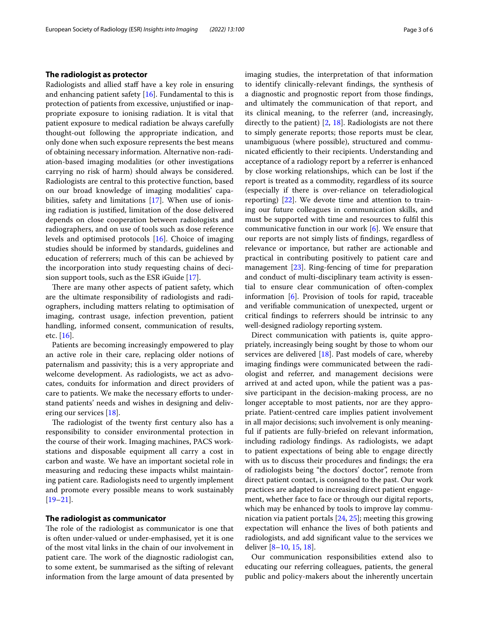#### **The radiologist as protector**

Radiologists and allied staf have a key role in ensuring and enhancing patient safety [[16](#page-4-13)]. Fundamental to this is protection of patients from excessive, unjustifed or inappropriate exposure to ionising radiation. It is vital that patient exposure to medical radiation be always carefully thought-out following the appropriate indication, and only done when such exposure represents the best means of obtaining necessary information. Alternative non-radiation-based imaging modalities (or other investigations carrying no risk of harm) should always be considered. Radiologists are central to this protective function, based on our broad knowledge of imaging modalities' capabilities, safety and limitations [\[17](#page-4-14)]. When use of ionising radiation is justifed, limitation of the dose delivered depends on close cooperation between radiologists and radiographers, and on use of tools such as dose reference levels and optimised protocols [\[16](#page-4-13)]. Choice of imaging studies should be informed by standards, guidelines and education of referrers; much of this can be achieved by the incorporation into study requesting chains of decision support tools, such as the ESR iGuide [[17](#page-4-14)].

There are many other aspects of patient safety, which are the ultimate responsibility of radiologists and radiographers, including matters relating to optimisation of imaging, contrast usage, infection prevention, patient handling, informed consent, communication of results, etc. [[16\]](#page-4-13).

Patients are becoming increasingly empowered to play an active role in their care, replacing older notions of paternalism and passivity; this is a very appropriate and welcome development. As radiologists, we act as advocates, conduits for information and direct providers of care to patients. We make the necessary eforts to understand patients' needs and wishes in designing and delivering our services [\[18](#page-4-15)].

The radiologist of the twenty first century also has a responsibility to consider environmental protection in the course of their work. Imaging machines, PACS workstations and disposable equipment all carry a cost in carbon and waste. We have an important societal role in measuring and reducing these impacts whilst maintaining patient care. Radiologists need to urgently implement and promote every possible means to work sustainably [[19–](#page-4-16)[21](#page-4-17)].

#### **The radiologist as communicator**

The role of the radiologist as communicator is one that is often under-valued or under-emphasised, yet it is one of the most vital links in the chain of our involvement in patient care. The work of the diagnostic radiologist can, to some extent, be summarised as the sifting of relevant information from the large amount of data presented by imaging studies, the interpretation of that information to identify clinically-relevant fndings, the synthesis of a diagnostic and prognostic report from those fndings, and ultimately the communication of that report, and its clinical meaning, to the referrer (and, increasingly, directly to the patient) [[2,](#page-4-1) [18\]](#page-4-15). Radiologists are not there to simply generate reports; those reports must be clear, unambiguous (where possible), structured and communicated efficiently to their recipients. Understanding and acceptance of a radiology report by a referrer is enhanced by close working relationships, which can be lost if the report is treated as a commodity, regardless of its source (especially if there is over-reliance on teleradiological reporting) [[22](#page-4-18)]. We devote time and attention to training our future colleagues in communication skills, and must be supported with time and resources to fulfl this communicative function in our work [[6\]](#page-4-5). We ensure that our reports are not simply lists of fndings, regardless of relevance or importance, but rather are actionable and practical in contributing positively to patient care and management [[23\]](#page-4-19). Ring-fencing of time for preparation and conduct of multi-disciplinary team activity is essential to ensure clear communication of often-complex information [[6](#page-4-5)]. Provision of tools for rapid, traceable and verifable communication of unexpected, urgent or critical fndings to referrers should be intrinsic to any well-designed radiology reporting system.

Direct communication with patients is, quite appropriately, increasingly being sought by those to whom our services are delivered [\[18](#page-4-15)]. Past models of care, whereby imaging fndings were communicated between the radiologist and referrer, and management decisions were arrived at and acted upon, while the patient was a passive participant in the decision-making process, are no longer acceptable to most patients, nor are they appropriate. Patient-centred care implies patient involvement in all major decisions; such involvement is only meaningful if patients are fully-briefed on relevant information, including radiology fndings. As radiologists, we adapt to patient expectations of being able to engage directly with us to discuss their procedures and fndings; the era of radiologists being "the doctors' doctor", remote from direct patient contact, is consigned to the past. Our work practices are adapted to increasing direct patient engagement, whether face to face or through our digital reports, which may be enhanced by tools to improve lay communication via patient portals [[24,](#page-4-20) [25](#page-4-21)]; meeting this growing expectation will enhance the lives of both patients and radiologists, and add signifcant value to the services we deliver [[8–](#page-4-22)[10,](#page-4-7) [15,](#page-4-12) [18](#page-4-15)].

Our communication responsibilities extend also to educating our referring colleagues, patients, the general public and policy-makers about the inherently uncertain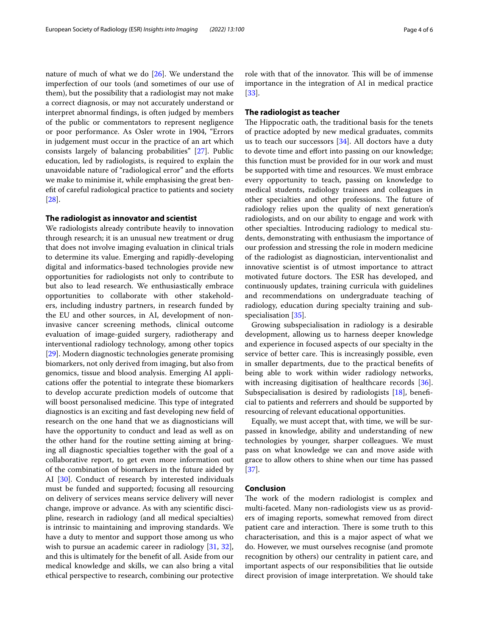nature of much of what we do [[26](#page-4-23)]. We understand the imperfection of our tools (and sometimes of our use of them), but the possibility that a radiologist may not make a correct diagnosis, or may not accurately understand or interpret abnormal fndings, is often judged by members of the public or commentators to represent negligence or poor performance. As Osler wrote in 1904, "Errors in judgement must occur in the practice of an art which consists largely of balancing probabilities" [[27\]](#page-4-24). Public education, led by radiologists, is required to explain the unavoidable nature of "radiological error" and the eforts we make to minimise it, while emphasising the great beneft of careful radiological practice to patients and society [[28\]](#page-4-25).

#### **The radiologist as innovator and scientist**

We radiologists already contribute heavily to innovation through research; it is an unusual new treatment or drug that does not involve imaging evaluation in clinical trials to determine its value. Emerging and rapidly-developing digital and informatics-based technologies provide new opportunities for radiologists not only to contribute to but also to lead research. We enthusiastically embrace opportunities to collaborate with other stakeholders, including industry partners, in research funded by the EU and other sources, in AI, development of noninvasive cancer screening methods, clinical outcome evaluation of image-guided surgery, radiotherapy and interventional radiology technology, among other topics [[29\]](#page-5-0). Modern diagnostic technologies generate promising biomarkers, not only derived from imaging, but also from genomics, tissue and blood analysis. Emerging AI applications ofer the potential to integrate these biomarkers to develop accurate prediction models of outcome that will boost personalised medicine. This type of integrated diagnostics is an exciting and fast developing new feld of research on the one hand that we as diagnosticians will have the opportunity to conduct and lead as well as on the other hand for the routine setting aiming at bringing all diagnostic specialties together with the goal of a collaborative report, to get even more information out of the combination of biomarkers in the future aided by AI [[30\]](#page-5-1). Conduct of research by interested individuals must be funded and supported; focusing all resourcing on delivery of services means service delivery will never change, improve or advance. As with any scientifc discipline, research in radiology (and all medical specialties) is intrinsic to maintaining and improving standards. We have a duty to mentor and support those among us who wish to pursue an academic career in radiology [\[31,](#page-5-2) [32](#page-5-3)], and this is ultimately for the beneft of all. Aside from our medical knowledge and skills, we can also bring a vital ethical perspective to research, combining our protective role with that of the innovator. This will be of immense importance in the integration of AI in medical practice [[33\]](#page-5-4).

#### **The radiologist as teacher**

The Hippocratic oath, the traditional basis for the tenets of practice adopted by new medical graduates, commits us to teach our successors  $[34]$  $[34]$  $[34]$ . All doctors have a duty to devote time and effort into passing on our knowledge; this function must be provided for in our work and must be supported with time and resources. We must embrace every opportunity to teach, passing on knowledge to medical students, radiology trainees and colleagues in other specialties and other professions. The future of radiology relies upon the quality of next generation's radiologists, and on our ability to engage and work with other specialties. Introducing radiology to medical students, demonstrating with enthusiasm the importance of our profession and stressing the role in modern medicine of the radiologist as diagnostician, interventionalist and innovative scientist is of utmost importance to attract motivated future doctors. The ESR has developed, and continuously updates, training curricula with guidelines and recommendations on undergraduate teaching of radiology, education during specialty training and subspecialisation [[35](#page-5-6)].

Growing subspecialisation in radiology is a desirable development, allowing us to harness deeper knowledge and experience in focused aspects of our specialty in the service of better care. This is increasingly possible, even in smaller departments, due to the practical benefts of being able to work within wider radiology networks, with increasing digitisation of healthcare records [\[36](#page-5-7)]. Subspecialisation is desired by radiologists [[18\]](#page-4-15), beneficial to patients and referrers and should be supported by resourcing of relevant educational opportunities.

Equally, we must accept that, with time, we will be surpassed in knowledge, ability and understanding of new technologies by younger, sharper colleagues. We must pass on what knowledge we can and move aside with grace to allow others to shine when our time has passed [[37\]](#page-5-8).

#### **Conclusion**

The work of the modern radiologist is complex and multi-faceted. Many non-radiologists view us as providers of imaging reports, somewhat removed from direct patient care and interaction. There is some truth to this characterisation, and this is a major aspect of what we do. However, we must ourselves recognise (and promote recognition by others) our centrality in patient care, and important aspects of our responsibilities that lie outside direct provision of image interpretation. We should take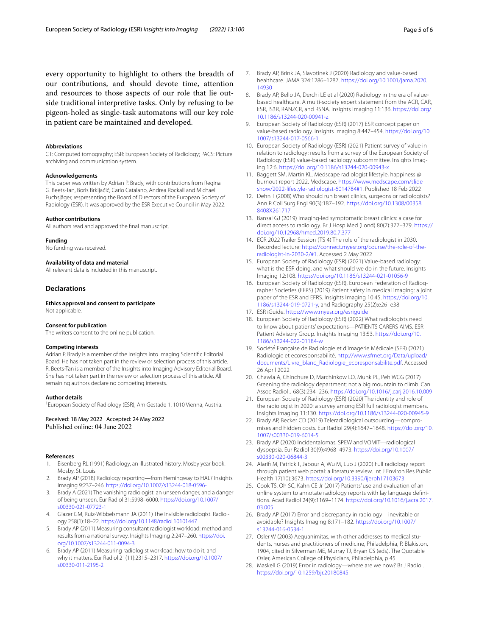every opportunity to highlight to others the breadth of our contributions, and should devote time, attention and resources to those aspects of our role that lie outside traditional interpretive tasks. Only by refusing to be pigeon-holed as single-task automatons will our key role in patient care be maintained and developed.

#### **Abbreviations**

CT: Computed tomography; ESR: European Society of Radiology; PACS: Picture archiving and communication system.

#### **Acknowledgements**

This paper was written by Adrian P. Brady, with contributions from Regina G. Beets-Tan, Boris Brkljačić, Carlo Catalano, Andrea Rockall and Michael Fuchsjäger, respresenting the Board of Directors of the European Society of Radiology (ESR). It was approved by the ESR Executive Council in May 2022.

#### **Author contributions**

All authors read and approved the fnal manuscript.

#### **Funding**

No funding was received.

#### **Availability of data and material**

All relevant data is included in this manuscript.

#### **Declarations**

**Ethics approval and consent to participate** Not applicable.

#### **Consent for publication**

The writers consent to the online publication.

#### **Competing interests**

Adrian P. Brady is a member of the Insights into Imaging Scientifc Editorial Board. He has not taken part in the review or selection process of this article. R. Beets-Tan is a member of the Insights into Imaging Advisory Editorial Board. She has not taken part in the review or selection process of this article. All remaining authors declare no competing interests.

#### **Author details**

<sup>1</sup> European Society of Radiology (ESR), Am Gestade 1, 1010 Vienna, Austria.

# Received: 18 May 2022 Accepted: 24 May 2022 Published online: 04 June 2022

#### **References**

- <span id="page-4-0"></span>1. Eisenberg RL (1991) Radiology, an illustrated history. Mosby year book. Mosby, St. Louis
- <span id="page-4-1"></span>2. Brady AP (2018) Radiology reporting—from Hemingway to HAL? Insights Imaging 9:237–246. <https://doi.org/10.1007/s13244-018-0596->
- <span id="page-4-2"></span>3. Brady A (2021) The vanishing radiologist: an unseen danger, and a danger of being unseen. Eur Radiol 31:5998–6000. [https://doi.org/10.1007/](https://doi.org/10.1007/s00330-021-07723-1) [s00330-021-07723-1](https://doi.org/10.1007/s00330-021-07723-1)
- <span id="page-4-3"></span>4. Glazer GM, Ruiz-Wibbelsmann JA (2011) The invisible radiologist. Radiology 258(1):18–22. <https://doi.org/10.1148/radiol.10101447>
- <span id="page-4-4"></span>5. Brady AP (2011) Measuring consultant radiologist workload: method and results from a national survey. Insights Imaging 2:247–260. [https://doi.](https://doi.org/10.1007/s13244-011-0094-3) [org/10.1007/s13244-011-0094-3](https://doi.org/10.1007/s13244-011-0094-3)
- <span id="page-4-5"></span>6. Brady AP (2011) Measuring radiologist workload: how to do it, and why it matters. Eur Radiol 21(11):2315–2317. [https://doi.org/10.1007/](https://doi.org/10.1007/s00330-011-2195-2) [s00330-011-2195-2](https://doi.org/10.1007/s00330-011-2195-2)
- <span id="page-4-6"></span>7. Brady AP, Brink JA, Slavotinek J (2020) Radiology and value-based healthcare. JAMA 324:1286–1287. [https://doi.org/10.1001/jama.2020.](https://doi.org/10.1001/jama.2020.14930) [14930](https://doi.org/10.1001/jama.2020.14930)
- <span id="page-4-22"></span>8. Brady AP, Bello JA, Derchi LE et al (2020) Radiology in the era of valuebased healthcare. A multi-society expert statement from the ACR, CAR, ESR, IS3R, RANZCR, and RSNA. Insights Imaging 11:136. [https://doi.org/](https://doi.org/10.1186/s13244-020-00941-z) [10.1186/s13244-020-00941-z](https://doi.org/10.1186/s13244-020-00941-z)
- <span id="page-4-11"></span>9. European Society of Radiology (ESR) (2017) ESR concept paper on value-based radiology. Insights Imaging 8:447–454. [https://doi.org/10.](https://doi.org/10.1007/s13244-017-0566-1) [1007/s13244-017-0566-1](https://doi.org/10.1007/s13244-017-0566-1)
- <span id="page-4-7"></span>10. European Society of Radiology (ESR) (2021) Patient survey of value in relation to radiology: results from a survey of the European Society of Radiology (ESR) value-based radiology subcommittee. Insights Imaging 12:6.<https://doi.org/10.1186/s13244-020-00943-x>
- <span id="page-4-8"></span>11. Baggett SM, Martin KL. Medscape radiologist lifestyle, happiness @ burnout report 2022. Medscape. [https://www.medscape.com/slide](https://www.medscape.com/slideshow/2022-lifestyle-radiologist-6014784#1) [show/2022-lifestyle-radiologist-6014784#1](https://www.medscape.com/slideshow/2022-lifestyle-radiologist-6014784#1). Published 18 Feb 2022
- <span id="page-4-9"></span>12. Dehn T (2008) Who should run breast clinics, surgeons or radiologists? Ann R Coll Surg Engl 90(3):187–192. [https://doi.org/10.1308/00358](https://doi.org/10.1308/003588408X261717) [8408X261717](https://doi.org/10.1308/003588408X261717)
- 13. Bansal GJ (2019) Imaging-led symptomatic breast clinics: a case for direct access to radiology. Br J Hosp Med (Lond) 80(7):377–379. [https://](https://doi.org/10.12968/hmed.2019.80.7.377) [doi.org/10.12968/hmed.2019.80.7.377](https://doi.org/10.12968/hmed.2019.80.7.377)
- <span id="page-4-10"></span>14. ECR 2022 Trailer Session (TS 4) The role of the radiologist in 2030. Recorded lecture: [https://connect.myesr.org/course/the-role-of-the](https://connect.myesr.org/course/the-role-of-the-radiologist-in-2030-2/#1)[radiologist-in-2030-2/#1](https://connect.myesr.org/course/the-role-of-the-radiologist-in-2030-2/#1). Accessed 2 May 2022
- <span id="page-4-12"></span>15. European Society of Radiology (ESR) (2021) Value-based radiology: what is the ESR doing, and what should we do in the future. Insights Imaging 12:108. <https://doi.org/10.1186/s13244-021-01056-9>
- <span id="page-4-13"></span>16. European Society of Radiology (ESR), European Federation of Radiographer Societies (EFRS) (2019) Patient safety in medical imaging: a joint paper of the ESR and EFRS. Insights Imaging 10:45. [https://doi.org/10.](https://doi.org/10.1186/s13244-019-0721-y) [1186/s13244-019-0721-y,](https://doi.org/10.1186/s13244-019-0721-y) and Radiography 25(2):e26–e38
- <span id="page-4-14"></span>17. ESR iGuide. <https://www.myesr.org/esriguide>
- <span id="page-4-15"></span>18. European Society of Radiology (ESR) (2022) What radiologists need to know about patients' expectations—PATIENTS CARERS AIMS. ESR Patient Advisory Group. Insights Imaging 13:53. [https://doi.org/10.](https://doi.org/10.1186/s13244-022-01184-w) [1186/s13244-022-01184-w](https://doi.org/10.1186/s13244-022-01184-w)
- <span id="page-4-16"></span>19. Société Française de Radiologie et d'Imagerie Médicale (SFR) (2021) Radiologie et ecoresponsabilité. [http://www.sfrnet.org/Data/upload/](http://www.sfrnet.org/Data/upload/documents/Livre_blanc_Radiologie_ecoresponsabilite.pdf) [documents/Livre\\_blanc\\_Radiologie\\_ecoresponsabilite.pdf.](http://www.sfrnet.org/Data/upload/documents/Livre_blanc_Radiologie_ecoresponsabilite.pdf) Accessed 26 April 2022
- 20. Chawla A, Chinchure D, Marchinkow LO, Munk PL, Peh WCG (2017) Greening the radiology department: not a big mountain to climb. Can Assoc Radiol J 68(3):234–236. <https://doi.org/10.1016/j.carj.2016.10.009>
- <span id="page-4-17"></span>21. European Society of Radiology (ESR) (2020) The identity and role of the radiologist in 2020: a survey among ESR full radiologist members. Insights Imaging 11:130.<https://doi.org/10.1186/s13244-020-00945-9>
- <span id="page-4-18"></span>22. Brady AP, Becker CD (2019) Teleradiological outsourcing—compromises and hidden costs. Eur Radiol 29(4):1647–1648. [https://doi.org/10.](https://doi.org/10.1007/s00330-019-6014-5) [1007/s00330-019-6014-5](https://doi.org/10.1007/s00330-019-6014-5)
- <span id="page-4-19"></span>23. Brady AP (2020) Incidentalomas, SPEW and VOMIT—radiological dyspepsia. Eur Radiol 30(9):4968–4973. [https://doi.org/10.1007/](https://doi.org/10.1007/s00330-020-06844-3) [s00330-020-06844-3](https://doi.org/10.1007/s00330-020-06844-3)
- <span id="page-4-20"></span>24. Alarif M, Patrick T, Jabour A, Wu M, Luo J (2020) Full radiology report through patient web portal: a literature review. Int J Environ Res Public Health 17(10):3673. <https://doi.org/10.3390/ijerph17103673>
- <span id="page-4-21"></span>25. Cook TS, Oh SC, Kahn CE Jr (2017) Patients' use and evaluation of an online system to annotate radiology reports with lay language defnitions. Acad Radiol 24(9):1169–1174. [https://doi.org/10.1016/j.acra.2017.](https://doi.org/10.1016/j.acra.2017.03.005) [03.005](https://doi.org/10.1016/j.acra.2017.03.005)
- <span id="page-4-23"></span>26. Brady AP (2017) Error and discrepancy in radiology—inevitable or avoidable? Insights Imaging 8:171–182. [https://doi.org/10.1007/](https://doi.org/10.1007/s13244-016-0534-1) [s13244-016-0534-1](https://doi.org/10.1007/s13244-016-0534-1)
- <span id="page-4-24"></span>27. Osler W (2003) Aequanimitas, with other addresses to medical students, nurses and practitioners of medicine, Philadelphia, P. Blakiston, 1904, cited in Silverman ME, Murray TJ, Bryan CS (eds). The Quotable Osler, American College of Physicians, Philadelphia, p 45
- <span id="page-4-25"></span>28. Maskell G (2019) Error in radiology—where are we now? Br J Radiol. <https://doi.org/10.1259/bjr.20180845>